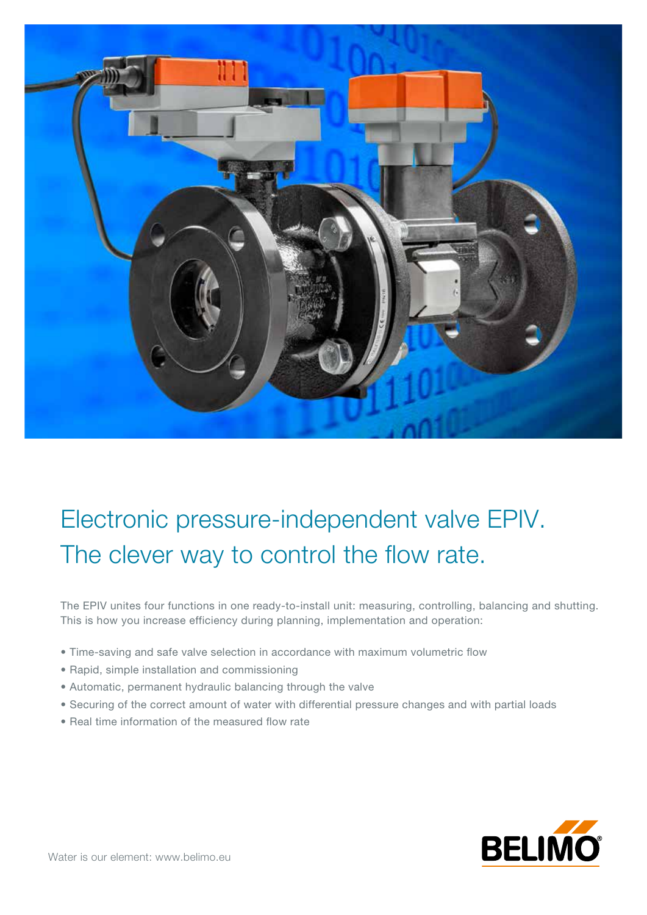

## Electronic pressure-independent valve EPIV. The clever way to control the flow rate.

The EPIV unites four functions in one ready-to-install unit: measuring, controlling, balancing and shutting. This is how you increase efficiency during planning, implementation and operation:

- Time-saving and safe valve selection in accordance with maximum volumetric flow
- Rapid, simple installation and commissioning
- Automatic, permanent hydraulic balancing through the valve
- Securing of the correct amount of water with differential pressure changes and with partial loads
- Real time information of the measured flow rate